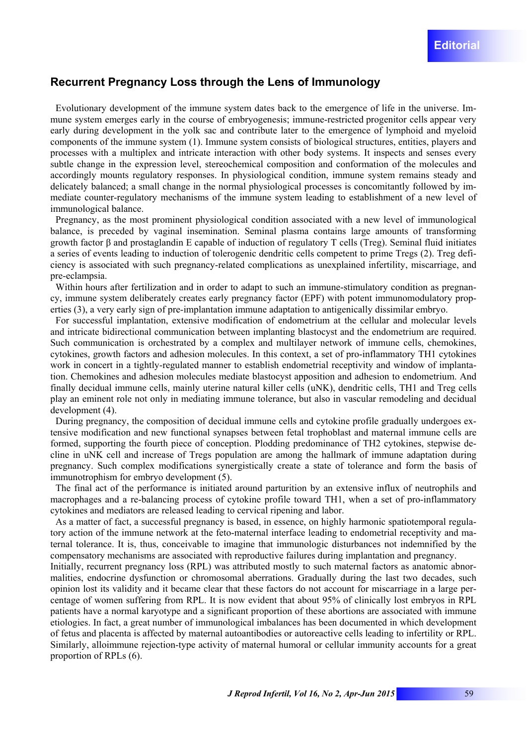## **Recurrent Pregnancy Loss through the Lens of Immunology**

Evolutionary development of the immune system dates back to the emergence of life in the universe. Immune system emerges early in the course of embryogenesis; immune-restricted progenitor cells appear very early during development in the yolk sac and contribute later to the emergence of lymphoid and myeloid components of the immune system (1). Immune system consists of biological structures, entities, players and processes with a multiplex and intricate interaction with other body systems. It inspects and senses every subtle change in the expression level, stereochemical composition and conformation of the molecules and accordingly mounts regulatory responses. In physiological condition, immune system remains steady and delicately balanced; a small change in the normal physiological processes is concomitantly followed by immediate counter-regulatory mechanisms of the immune system leading to establishment of a new level of immunological balance.

Pregnancy, as the most prominent physiological condition associated with a new level of immunological balance, is preceded by vaginal insemination. Seminal plasma contains large amounts of transforming growth factor β and prostaglandin E capable of induction of regulatory T cells (Treg). Seminal fluid initiates a series of events leading to induction of tolerogenic dendritic cells competent to prime Tregs (2). Treg deficiency is associated with such pregnancy-related complications as unexplained infertility, miscarriage, and pre-eclampsia.

Within hours after fertilization and in order to adapt to such an immune-stimulatory condition as pregnancy, immune system deliberately creates early pregnancy factor (EPF) with potent immunomodulatory properties (3), a very early sign of pre-implantation immune adaptation to antigenically dissimilar embryo.

For successful implantation, extensive modification of endometrium at the cellular and molecular levels and intricate bidirectional communication between implanting blastocyst and the endometrium are required. Such communication is orchestrated by a complex and multilayer network of immune cells, chemokines, cytokines, growth factors and adhesion molecules. In this context, a set of pro-inflammatory TH1 cytokines work in concert in a tightly-regulated manner to establish endometrial receptivity and window of implantation. Chemokines and adhesion molecules mediate blastocyst apposition and adhesion to endometrium. And finally decidual immune cells, mainly uterine natural killer cells (uNK), dendritic cells, TH1 and Treg cells play an eminent role not only in mediating immune tolerance, but also in vascular remodeling and decidual development (4).

During pregnancy, the composition of decidual immune cells and cytokine profile gradually undergoes extensive modification and new functional synapses between fetal trophoblast and maternal immune cells are formed, supporting the fourth piece of conception. Plodding predominance of TH2 cytokines, stepwise decline in uNK cell and increase of Tregs population are among the hallmark of immune adaptation during pregnancy. Such complex modifications synergistically create a state of tolerance and form the basis of immunotrophism for embryo development (5).

The final act of the performance is initiated around parturition by an extensive influx of neutrophils and macrophages and a re-balancing process of cytokine profile toward TH1, when a set of pro-inflammatory cytokines and mediators are released leading to cervical ripening and labor.

As a matter of fact, a successful pregnancy is based, in essence, on highly harmonic spatiotemporal regulatory action of the immune network at the feto-maternal interface leading to endometrial receptivity and maternal tolerance. It is, thus, conceivable to imagine that immunologic disturbances not indemnified by the compensatory mechanisms are associated with reproductive failures during implantation and pregnancy.

Initially, recurrent pregnancy loss (RPL) was attributed mostly to such maternal factors as anatomic abnormalities, endocrine dysfunction or chromosomal aberrations. Gradually during the last two decades, such opinion lost its validity and it became clear that these factors do not account for miscarriage in a large percentage of women suffering from RPL. It is now evident that about 95% of clinically lost embryos in RPL patients have a normal karyotype and a significant proportion of these abortions are associated with immune etiologies. In fact, a great number of immunological imbalances has been documented in which development of fetus and placenta is affected by maternal autoantibodies or autoreactive cells leading to infertility or RPL. Similarly, alloimmune rejection-type activity of maternal humoral or cellular immunity accounts for a great proportion of RPLs (6).